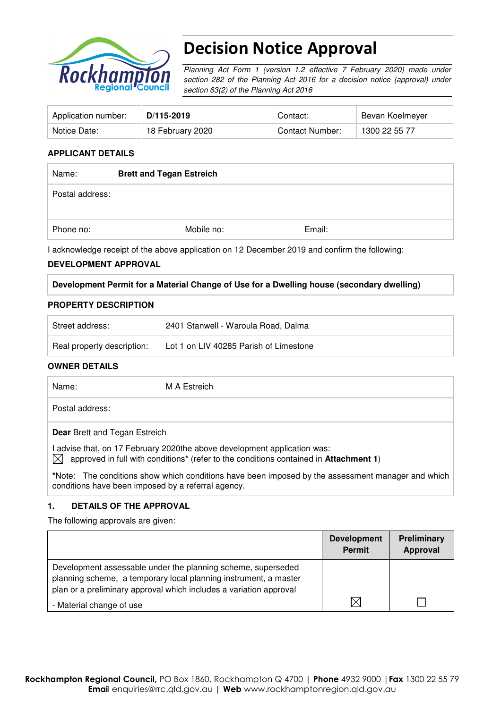

# Decision Notice Approval

Planning Act Form 1 (version 1.2 effective 7 February 2020) made under section 282 of the Planning Act 2016 for a decision notice (approval) under section 63(2) of the Planning Act 2016

| Application number: | D/115-2019       | Contact:        | Bevan Koelmeyer |
|---------------------|------------------|-----------------|-----------------|
| Notice Date:        | 18 February 2020 | Contact Number: | 1300 22 55 77   |

## **APPLICANT DETAILS**

| Name:           | <b>Brett and Tegan Estreich</b> |            |        |  |
|-----------------|---------------------------------|------------|--------|--|
| Postal address: |                                 |            |        |  |
| Phone no:       |                                 | Mobile no: | Email: |  |

I acknowledge receipt of the above application on 12 December 2019 and confirm the following:

#### **DEVELOPMENT APPROVAL**

#### **Development Permit for a Material Change of Use for a Dwelling house (secondary dwelling)**

#### **PROPERTY DESCRIPTION**

| Street address:            | 2401 Stanwell - Waroula Road, Dalma    |
|----------------------------|----------------------------------------|
| Real property description: | Lot 1 on LIV 40285 Parish of Limestone |

#### **OWNER DETAILS**

Name: M A Estreich

Postal address:

**Dear** Brett and Tegan Estreich

I advise that, on 17 February 2020the above development application was:

 $\boxtimes$  approved in full with conditions<sup>\*</sup> (refer to the conditions contained in **Attachment 1**)

**\***Note:The conditions show which conditions have been imposed by the assessment manager and which conditions have been imposed by a referral agency.

#### **1. DETAILS OF THE APPROVAL**

The following approvals are given:

|                                                                                                                                                                                                        | <b>Development</b><br>Permit | <b>Preliminary</b><br><b>Approval</b> |
|--------------------------------------------------------------------------------------------------------------------------------------------------------------------------------------------------------|------------------------------|---------------------------------------|
| Development assessable under the planning scheme, superseded<br>planning scheme, a temporary local planning instrument, a master<br>plan or a preliminary approval which includes a variation approval |                              |                                       |
| - Material change of use                                                                                                                                                                               | IX                           |                                       |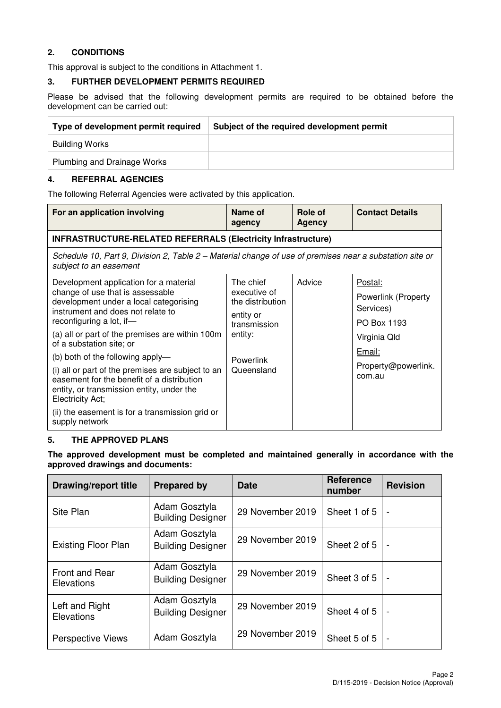## **2. CONDITIONS**

This approval is subject to the conditions in Attachment 1.

#### **3. FURTHER DEVELOPMENT PERMITS REQUIRED**

Please be advised that the following development permits are required to be obtained before the development can be carried out:

| Type of development permit required | Subject of the required development permit |
|-------------------------------------|--------------------------------------------|
| Building Works                      |                                            |
| Plumbing and Drainage Works         |                                            |

## **4. REFERRAL AGENCIES**

The following Referral Agencies were activated by this application.

| For an application involving                                                                                                                                                                                                                                                                                                                                                                                                                                                                                                                      | Name of<br>agency                                                                                                | Role of<br><b>Agency</b> | <b>Contact Details</b>                                                                                                |
|---------------------------------------------------------------------------------------------------------------------------------------------------------------------------------------------------------------------------------------------------------------------------------------------------------------------------------------------------------------------------------------------------------------------------------------------------------------------------------------------------------------------------------------------------|------------------------------------------------------------------------------------------------------------------|--------------------------|-----------------------------------------------------------------------------------------------------------------------|
| <b>INFRASTRUCTURE-RELATED REFERRALS (Electricity Infrastructure)</b>                                                                                                                                                                                                                                                                                                                                                                                                                                                                              |                                                                                                                  |                          |                                                                                                                       |
| Schedule 10, Part 9, Division 2, Table 2 – Material change of use of premises near a substation site or<br>subject to an easement                                                                                                                                                                                                                                                                                                                                                                                                                 |                                                                                                                  |                          |                                                                                                                       |
| Development application for a material<br>change of use that is assessable<br>development under a local categorising<br>instrument and does not relate to<br>reconfiguring a lot, if-<br>(a) all or part of the premises are within 100m<br>of a substation site; or<br>(b) both of the following apply-<br>(i) all or part of the premises are subject to an<br>easement for the benefit of a distribution<br>entity, or transmission entity, under the<br>Electricity Act;<br>(ii) the easement is for a transmission grid or<br>supply network | The chief<br>executive of<br>the distribution<br>entity or<br>transmission<br>entity:<br>Powerlink<br>Queensland | Advice                   | Postal:<br>Powerlink (Property<br>Services)<br>PO Box 1193<br>Virginia Qld<br>Email:<br>Property@powerlink.<br>com.au |

#### **5. THE APPROVED PLANS**

**The approved development must be completed and maintained generally in accordance with the approved drawings and documents:** 

| <b>Drawing/report title</b>         | <b>Prepared by</b>                        | <b>Date</b>      | <b>Reference</b><br>number | <b>Revision</b>          |
|-------------------------------------|-------------------------------------------|------------------|----------------------------|--------------------------|
| Site Plan                           | Adam Gosztyla<br><b>Building Designer</b> | 29 November 2019 | Sheet 1 of 5               | $\blacksquare$           |
| <b>Existing Floor Plan</b>          | Adam Gosztyla<br><b>Building Designer</b> | 29 November 2019 | Sheet 2 of 5               | $\overline{\phantom{a}}$ |
| <b>Front and Rear</b><br>Elevations | Adam Gosztyla<br><b>Building Designer</b> | 29 November 2019 | Sheet 3 of 5               | $\blacksquare$           |
| Left and Right<br>Elevations        | Adam Gosztyla<br><b>Building Designer</b> | 29 November 2019 | Sheet 4 of 5               | $\overline{\phantom{a}}$ |
| <b>Perspective Views</b>            | Adam Gosztyla                             | 29 November 2019 | Sheet 5 of 5               |                          |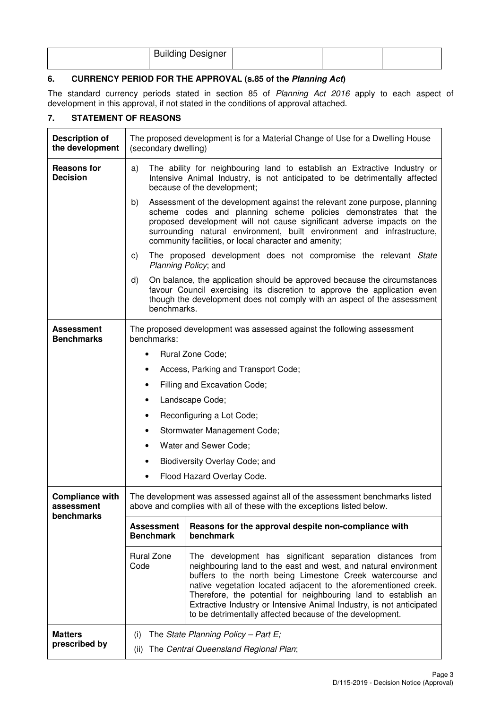| <b>Building Designer</b> |  |  |
|--------------------------|--|--|
|                          |  |  |

# **6. CURRENCY PERIOD FOR THE APPROVAL (s.85 of the Planning Act)**

The standard currency periods stated in section 85 of Planning Act 2016 apply to each aspect of development in this approval, if not stated in the conditions of approval attached.

# **7. STATEMENT OF REASONS**

| <b>Description of</b><br>the development           | (secondary dwelling)                                                                                                                                                                                                                                                                                                                                            | The proposed development is for a Material Change of Use for a Dwelling House                                                                                                                                                                                                                                                                                                                                                                                       |  |  |
|----------------------------------------------------|-----------------------------------------------------------------------------------------------------------------------------------------------------------------------------------------------------------------------------------------------------------------------------------------------------------------------------------------------------------------|---------------------------------------------------------------------------------------------------------------------------------------------------------------------------------------------------------------------------------------------------------------------------------------------------------------------------------------------------------------------------------------------------------------------------------------------------------------------|--|--|
| <b>Reasons for</b><br><b>Decision</b>              | The ability for neighbouring land to establish an Extractive Industry or<br>a)<br>Intensive Animal Industry, is not anticipated to be detrimentally affected<br>because of the development;                                                                                                                                                                     |                                                                                                                                                                                                                                                                                                                                                                                                                                                                     |  |  |
|                                                    | Assessment of the development against the relevant zone purpose, planning<br>b)<br>scheme codes and planning scheme policies demonstrates that the<br>proposed development will not cause significant adverse impacts on the<br>surrounding natural environment, built environment and infrastructure,<br>community facilities, or local character and amenity; |                                                                                                                                                                                                                                                                                                                                                                                                                                                                     |  |  |
|                                                    | C)                                                                                                                                                                                                                                                                                                                                                              | The proposed development does not compromise the relevant State<br>Planning Policy; and                                                                                                                                                                                                                                                                                                                                                                             |  |  |
|                                                    | d)                                                                                                                                                                                                                                                                                                                                                              | On balance, the application should be approved because the circumstances<br>favour Council exercising its discretion to approve the application even<br>though the development does not comply with an aspect of the assessment<br>benchmarks.                                                                                                                                                                                                                      |  |  |
| Assessment<br><b>Benchmarks</b>                    | benchmarks:                                                                                                                                                                                                                                                                                                                                                     | The proposed development was assessed against the following assessment                                                                                                                                                                                                                                                                                                                                                                                              |  |  |
|                                                    | ٠                                                                                                                                                                                                                                                                                                                                                               | Rural Zone Code;                                                                                                                                                                                                                                                                                                                                                                                                                                                    |  |  |
|                                                    | Access, Parking and Transport Code;                                                                                                                                                                                                                                                                                                                             |                                                                                                                                                                                                                                                                                                                                                                                                                                                                     |  |  |
|                                                    | ٠                                                                                                                                                                                                                                                                                                                                                               | Filling and Excavation Code;                                                                                                                                                                                                                                                                                                                                                                                                                                        |  |  |
|                                                    |                                                                                                                                                                                                                                                                                                                                                                 | Landscape Code;                                                                                                                                                                                                                                                                                                                                                                                                                                                     |  |  |
|                                                    | ٠                                                                                                                                                                                                                                                                                                                                                               | Reconfiguring a Lot Code;                                                                                                                                                                                                                                                                                                                                                                                                                                           |  |  |
|                                                    |                                                                                                                                                                                                                                                                                                                                                                 | Stormwater Management Code;                                                                                                                                                                                                                                                                                                                                                                                                                                         |  |  |
|                                                    | Water and Sewer Code;<br>٠                                                                                                                                                                                                                                                                                                                                      |                                                                                                                                                                                                                                                                                                                                                                                                                                                                     |  |  |
|                                                    | Biodiversity Overlay Code; and                                                                                                                                                                                                                                                                                                                                  |                                                                                                                                                                                                                                                                                                                                                                                                                                                                     |  |  |
|                                                    | $\bullet$                                                                                                                                                                                                                                                                                                                                                       | Flood Hazard Overlay Code.                                                                                                                                                                                                                                                                                                                                                                                                                                          |  |  |
| <b>Compliance with</b><br>assessment<br>benchmarks | The development was assessed against all of the assessment benchmarks listed<br>above and complies with all of these with the exceptions listed below.                                                                                                                                                                                                          |                                                                                                                                                                                                                                                                                                                                                                                                                                                                     |  |  |
|                                                    | Reasons for the approval despite non-compliance with<br><b>Assessment</b><br><b>Benchmark</b><br>benchmark                                                                                                                                                                                                                                                      |                                                                                                                                                                                                                                                                                                                                                                                                                                                                     |  |  |
|                                                    | <b>Rural Zone</b><br>Code                                                                                                                                                                                                                                                                                                                                       | The development has significant separation distances from<br>neighbouring land to the east and west, and natural environment<br>buffers to the north being Limestone Creek watercourse and<br>native vegetation located adjacent to the aforementioned creek.<br>Therefore, the potential for neighbouring land to establish an<br>Extractive Industry or Intensive Animal Industry, is not anticipated<br>to be detrimentally affected because of the development. |  |  |
| <b>Matters</b><br>prescribed by                    | (i)<br>(ii)                                                                                                                                                                                                                                                                                                                                                     | The State Planning Policy - Part E;<br>The Central Queensland Regional Plan;                                                                                                                                                                                                                                                                                                                                                                                        |  |  |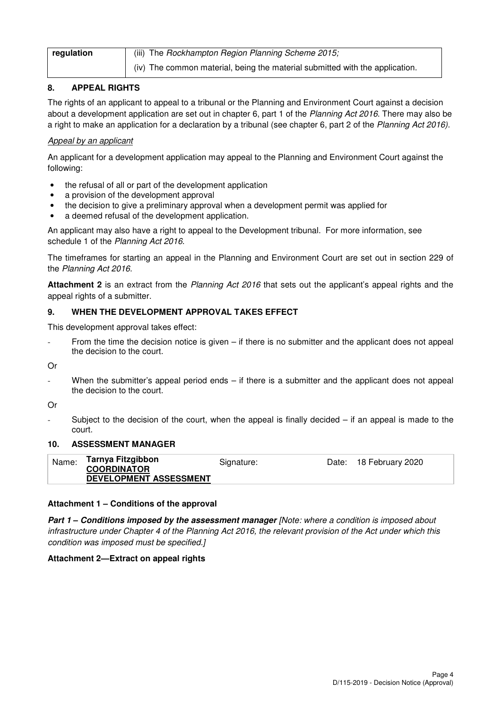| regulation | (iii) The Rockhampton Region Planning Scheme 2015;                           |
|------------|------------------------------------------------------------------------------|
|            | (iv) The common material, being the material submitted with the application. |

# **8. APPEAL RIGHTS**

The rights of an applicant to appeal to a tribunal or the Planning and Environment Court against a decision about a development application are set out in chapter 6, part 1 of the Planning Act 2016. There may also be a right to make an application for a declaration by a tribunal (see chapter 6, part 2 of the Planning Act 2016).

# Appeal by an applicant

An applicant for a development application may appeal to the Planning and Environment Court against the following:

- the refusal of all or part of the development application
- a provision of the development approval
- the decision to give a preliminary approval when a development permit was applied for
- a deemed refusal of the development application.

An applicant may also have a right to appeal to the Development tribunal. For more information, see schedule 1 of the Planning Act 2016.

The timeframes for starting an appeal in the Planning and Environment Court are set out in section 229 of the Planning Act 2016.

**Attachment 2** is an extract from the Planning Act 2016 that sets out the applicant's appeal rights and the appeal rights of a submitter.

## **9. WHEN THE DEVELOPMENT APPROVAL TAKES EFFECT**

This development approval takes effect:

From the time the decision notice is given  $-$  if there is no submitter and the applicant does not appeal the decision to the court.

Or

When the submitter's appeal period ends  $-$  if there is a submitter and the applicant does not appeal the decision to the court.

Or

Subject to the decision of the court, when the appeal is finally decided  $-$  if an appeal is made to the court.

## **10. ASSESSMENT MANAGER**

|--|

## **Attachment 1 – Conditions of the approval**

**Part 1 – Conditions imposed by the assessment manager** [Note: where a condition is imposed about infrastructure under Chapter 4 of the Planning Act 2016, the relevant provision of the Act under which this condition was imposed must be specified.]

## **Attachment 2—Extract on appeal rights**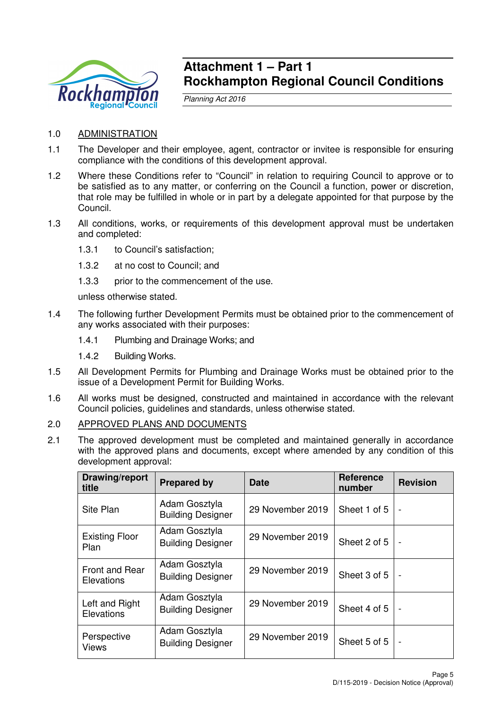

# **Attachment 1 – Part 1 Rockhampton Regional Council Conditions**

Planning Act 2016

- 1.0 ADMINISTRATION
- 1.1 The Developer and their employee, agent, contractor or invitee is responsible for ensuring compliance with the conditions of this development approval.
- 1.2 Where these Conditions refer to "Council" in relation to requiring Council to approve or to be satisfied as to any matter, or conferring on the Council a function, power or discretion, that role may be fulfilled in whole or in part by a delegate appointed for that purpose by the Council.
- 1.3 All conditions, works, or requirements of this development approval must be undertaken and completed:
	- 1.3.1 to Council's satisfaction;
	- 1.3.2 at no cost to Council; and
	- 1.3.3 prior to the commencement of the use.

unless otherwise stated.

- 1.4 The following further Development Permits must be obtained prior to the commencement of any works associated with their purposes:
	- 1.4.1 Plumbing and Drainage Works; and
	- 1.4.2 Building Works.
- 1.5 All Development Permits for Plumbing and Drainage Works must be obtained prior to the issue of a Development Permit for Building Works.
- 1.6 All works must be designed, constructed and maintained in accordance with the relevant Council policies, guidelines and standards, unless otherwise stated.

## 2.0 APPROVED PLANS AND DOCUMENTS

2.1 The approved development must be completed and maintained generally in accordance with the approved plans and documents, except where amended by any condition of this development approval:

| Drawing/report<br>title                    | <b>Prepared by</b>                        | <b>Date</b>      | <b>Reference</b><br>number | <b>Revision</b>          |
|--------------------------------------------|-------------------------------------------|------------------|----------------------------|--------------------------|
| Site Plan                                  | Adam Gosztyla<br><b>Building Designer</b> | 29 November 2019 | Sheet 1 of 5               | $\overline{\phantom{0}}$ |
| <b>Existing Floor</b><br>Plan              | Adam Gosztyla<br><b>Building Designer</b> | 29 November 2019 | Sheet 2 of 5               |                          |
| <b>Front and Rear</b><br><b>Elevations</b> | Adam Gosztyla<br><b>Building Designer</b> | 29 November 2019 | Sheet 3 of 5               | $\overline{a}$           |
| Left and Right<br>Elevations               | Adam Gosztyla<br><b>Building Designer</b> | 29 November 2019 | Sheet 4 of 5               | $\overline{\phantom{0}}$ |
| Perspective<br><b>Views</b>                | Adam Gosztyla<br><b>Building Designer</b> | 29 November 2019 | Sheet 5 of 5               | $\overline{\phantom{0}}$ |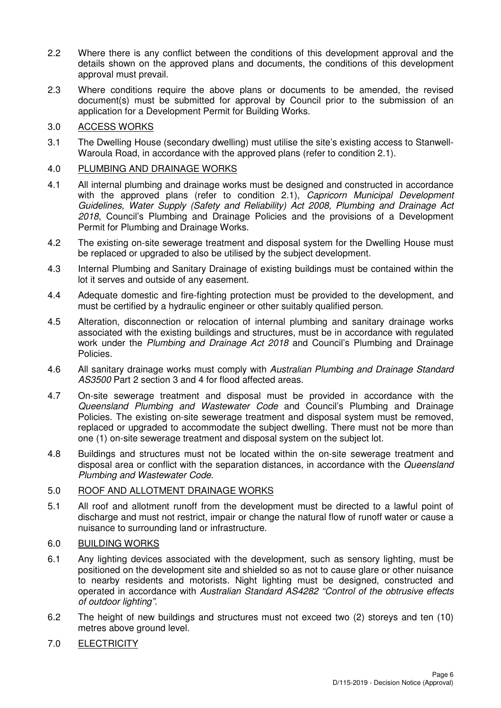- 2.2 Where there is any conflict between the conditions of this development approval and the details shown on the approved plans and documents, the conditions of this development approval must prevail.
- 2.3 Where conditions require the above plans or documents to be amended, the revised document(s) must be submitted for approval by Council prior to the submission of an application for a Development Permit for Building Works.

# 3.0 ACCESS WORKS

3.1 The Dwelling House (secondary dwelling) must utilise the site's existing access to Stanwell-Waroula Road, in accordance with the approved plans (refer to condition 2.1).

# 4.0 PLUMBING AND DRAINAGE WORKS

- 4.1 All internal plumbing and drainage works must be designed and constructed in accordance with the approved plans (refer to condition 2.1), Capricorn Municipal Development Guidelines, Water Supply (Safety and Reliability) Act 2008, Plumbing and Drainage Act 2018, Council's Plumbing and Drainage Policies and the provisions of a Development Permit for Plumbing and Drainage Works.
- 4.2 The existing on-site sewerage treatment and disposal system for the Dwelling House must be replaced or upgraded to also be utilised by the subject development.
- 4.3 Internal Plumbing and Sanitary Drainage of existing buildings must be contained within the lot it serves and outside of any easement.
- 4.4 Adequate domestic and fire-fighting protection must be provided to the development, and must be certified by a hydraulic engineer or other suitably qualified person.
- 4.5 Alteration, disconnection or relocation of internal plumbing and sanitary drainage works associated with the existing buildings and structures, must be in accordance with regulated work under the Plumbing and Drainage Act 2018 and Council's Plumbing and Drainage Policies.
- 4.6 All sanitary drainage works must comply with Australian Plumbing and Drainage Standard AS3500 Part 2 section 3 and 4 for flood affected areas.
- 4.7 On-site sewerage treatment and disposal must be provided in accordance with the Queensland Plumbing and Wastewater Code and Council's Plumbing and Drainage Policies. The existing on-site sewerage treatment and disposal system must be removed, replaced or upgraded to accommodate the subject dwelling. There must not be more than one (1) on-site sewerage treatment and disposal system on the subject lot.
- 4.8 Buildings and structures must not be located within the on-site sewerage treatment and disposal area or conflict with the separation distances, in accordance with the *Queensland* Plumbing and Wastewater Code.

## 5.0 ROOF AND ALLOTMENT DRAINAGE WORKS

5.1 All roof and allotment runoff from the development must be directed to a lawful point of discharge and must not restrict, impair or change the natural flow of runoff water or cause a nuisance to surrounding land or infrastructure.

## 6.0 BUILDING WORKS

- 6.1 Any lighting devices associated with the development, such as sensory lighting, must be positioned on the development site and shielded so as not to cause glare or other nuisance to nearby residents and motorists. Night lighting must be designed, constructed and operated in accordance with Australian Standard AS4282 "Control of the obtrusive effects of outdoor lighting".
- 6.2 The height of new buildings and structures must not exceed two (2) storeys and ten (10) metres above ground level.

# 7.0 ELECTRICITY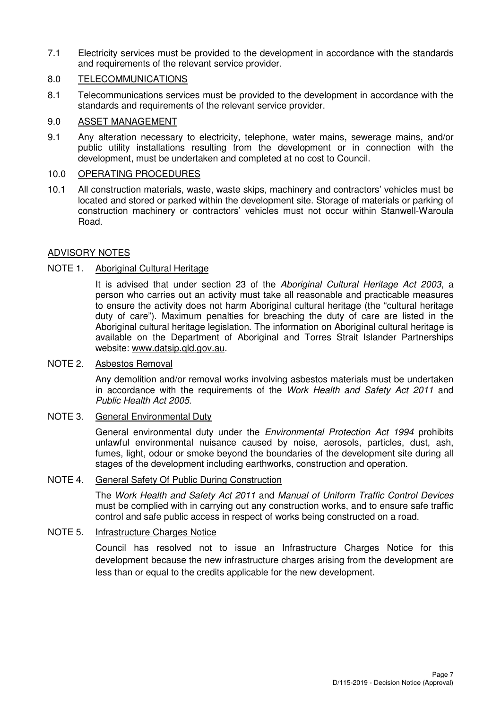7.1 Electricity services must be provided to the development in accordance with the standards and requirements of the relevant service provider.

# 8.0 TELECOMMUNICATIONS

8.1 Telecommunications services must be provided to the development in accordance with the standards and requirements of the relevant service provider.

#### 9.0 ASSET MANAGEMENT

9.1 Any alteration necessary to electricity, telephone, water mains, sewerage mains, and/or public utility installations resulting from the development or in connection with the development, must be undertaken and completed at no cost to Council.

# 10.0 OPERATING PROCEDURES

10.1 All construction materials, waste, waste skips, machinery and contractors' vehicles must be located and stored or parked within the development site. Storage of materials or parking of construction machinery or contractors' vehicles must not occur within Stanwell-Waroula Road.

## ADVISORY NOTES

## NOTE 1. Aboriginal Cultural Heritage

It is advised that under section 23 of the Aboriginal Cultural Heritage Act 2003, a person who carries out an activity must take all reasonable and practicable measures to ensure the activity does not harm Aboriginal cultural heritage (the "cultural heritage duty of care"). Maximum penalties for breaching the duty of care are listed in the Aboriginal cultural heritage legislation. The information on Aboriginal cultural heritage is available on the Department of Aboriginal and Torres Strait Islander Partnerships website: www.datsip.qld.gov.au.

#### NOTE 2. Asbestos Removal

Any demolition and/or removal works involving asbestos materials must be undertaken in accordance with the requirements of the Work Health and Safety Act 2011 and Public Health Act 2005.

#### NOTE 3. General Environmental Duty

General environmental duty under the *Environmental Protection Act 1994* prohibits unlawful environmental nuisance caused by noise, aerosols, particles, dust, ash, fumes, light, odour or smoke beyond the boundaries of the development site during all stages of the development including earthworks, construction and operation.

#### NOTE 4. General Safety Of Public During Construction

The Work Health and Safety Act 2011 and Manual of Uniform Traffic Control Devices must be complied with in carrying out any construction works, and to ensure safe traffic control and safe public access in respect of works being constructed on a road.

# NOTE 5. Infrastructure Charges Notice

Council has resolved not to issue an Infrastructure Charges Notice for this development because the new infrastructure charges arising from the development are less than or equal to the credits applicable for the new development.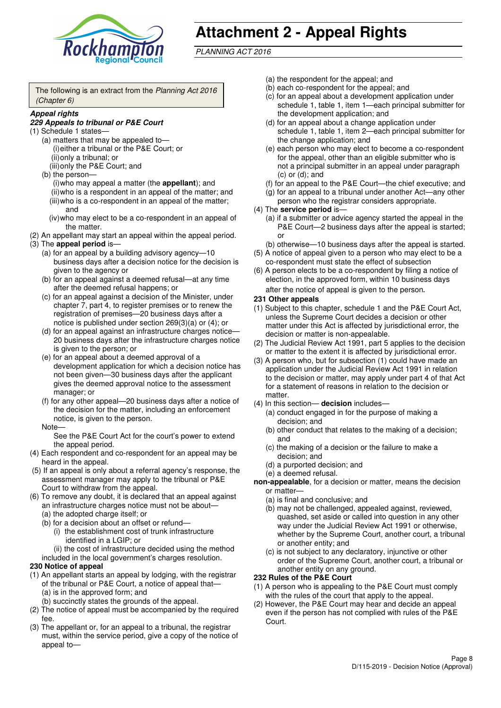

# **Attachment 2 - Appeal Rights**

PLANNING ACT 2016

The following is an extract from the Planning Act 2016 (Chapter 6)

#### **Appeal rights**

#### **229 Appeals to tribunal or P&E Court**

- (1) Schedule 1 states—
	- (a) matters that may be appealed to— (i) either a tribunal or the P&E Court; or (ii) only a tribunal; or
	- (iii) only the P&E Court; and (b) the person—
		- (i) who may appeal a matter (the **appellant**); and (ii) who is a respondent in an appeal of the matter; and (iii) who is a co-respondent in an appeal of the matter; and
		- (iv) who may elect to be a co-respondent in an appeal of the matter.
- (2) An appellant may start an appeal within the appeal period.
- (3) The **appeal period** is—
	- (a) for an appeal by a building advisory agency—10 business days after a decision notice for the decision is given to the agency or
	- (b) for an appeal against a deemed refusal—at any time after the deemed refusal happens; or
	- (c) for an appeal against a decision of the Minister, under chapter 7, part 4, to register premises or to renew the registration of premises—20 business days after a notice is published under section 269(3)(a) or (4); or
	- (d) for an appeal against an infrastructure charges notice— 20 business days after the infrastructure charges notice is given to the person; or
	- (e) for an appeal about a deemed approval of a development application for which a decision notice has not been given—30 business days after the applicant gives the deemed approval notice to the assessment manager; or
	- (f) for any other appeal—20 business days after a notice of the decision for the matter, including an enforcement notice, is given to the person.

#### Note—

See the P&E Court Act for the court's power to extend the appeal period.

- (4) Each respondent and co-respondent for an appeal may be heard in the appeal.
- (5) If an appeal is only about a referral agency's response, the assessment manager may apply to the tribunal or P&E Court to withdraw from the appeal.
- (6) To remove any doubt, it is declared that an appeal against an infrastructure charges notice must not be about—
	- (a) the adopted charge itself; or
	- (b) for a decision about an offset or refund—
		- (i) the establishment cost of trunk infrastructure identified in a LGIP; or
		- (ii) the cost of infrastructure decided using the method
	- included in the local government's charges resolution.

#### **230 Notice of appeal**

- (1) An appellant starts an appeal by lodging, with the registrar of the tribunal or P&E Court, a notice of appeal that—
	- (a) is in the approved form; and
	- (b) succinctly states the grounds of the appeal.
- (2) The notice of appeal must be accompanied by the required fee.
- (3) The appellant or, for an appeal to a tribunal, the registrar must, within the service period, give a copy of the notice of appeal to—
- (a) the respondent for the appeal; and
- (b) each co-respondent for the appeal; and
- (c) for an appeal about a development application under schedule 1, table 1, item 1—each principal submitter for the development application; and
- (d) for an appeal about a change application under schedule 1, table 1, item 2—each principal submitter for the change application; and
- (e) each person who may elect to become a co-respondent for the appeal, other than an eligible submitter who is not a principal submitter in an appeal under paragraph  $(c)$  or  $(d)$ ; and
- (f) for an appeal to the P&E Court—the chief executive; and
- (g) for an appeal to a tribunal under another Act—any other person who the registrar considers appropriate.
- (4) The **service period** is—
	- (a) if a submitter or advice agency started the appeal in the P&E Court-2 business days after the appeal is started; or
	- (b) otherwise—10 business days after the appeal is started.
- (5) A notice of appeal given to a person who may elect to be a co-respondent must state the effect of subsection
- (6) A person elects to be a co-respondent by filing a notice of election, in the approved form, within 10 business days after the notice of appeal is given to the person*.*
- **231 Other appeals**
- (1) Subject to this chapter, schedule 1 and the P&E Court Act, unless the Supreme Court decides a decision or other matter under this Act is affected by jurisdictional error, the decision or matter is non-appealable.
- (2) The Judicial Review Act 1991, part 5 applies to the decision or matter to the extent it is affected by jurisdictional error.
- (3) A person who, but for subsection (1) could have made an application under the Judicial Review Act 1991 in relation to the decision or matter, may apply under part 4 of that Act for a statement of reasons in relation to the decision or matter.
- (4) In this section— **decision** includes—
	- (a) conduct engaged in for the purpose of making a decision; and
	- (b) other conduct that relates to the making of a decision; and
	- (c) the making of a decision or the failure to make a decision; and
	- (d) a purported decision; and
	- (e) a deemed refusal.

**non-appealable**, for a decision or matter, means the decision or matter—

- (a) is final and conclusive; and
- (b) may not be challenged, appealed against, reviewed, quashed, set aside or called into question in any other way under the Judicial Review Act 1991 or otherwise, whether by the Supreme Court, another court, a tribunal or another entity; and
- (c) is not subject to any declaratory, injunctive or other order of the Supreme Court, another court, a tribunal or another entity on any ground.

#### **232 Rules of the P&E Court**

- (1) A person who is appealing to the P&E Court must comply with the rules of the court that apply to the appeal.
- (2) However, the P&E Court may hear and decide an appeal even if the person has not complied with rules of the P&E Court.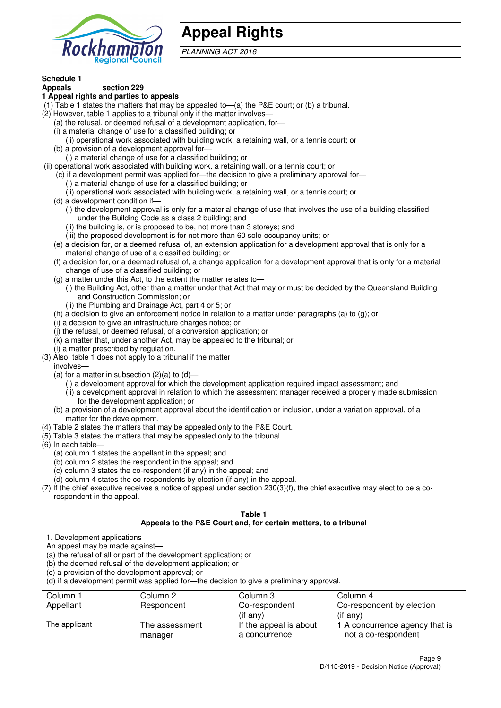

# **Appeal Rights**

PLANNING ACT 2016

# **Schedule 1**

#### **Appeals section 229 1 Appeal rights and parties to appeals**

- (1) Table 1 states the matters that may be appealed to—(a) the P&E court; or (b) a tribunal.
- (2) However, table 1 applies to a tribunal only if the matter involves—
	- (a) the refusal, or deemed refusal of a development application, for—
	- (i) a material change of use for a classified building; or
	- (ii) operational work associated with building work, a retaining wall, or a tennis court; or
	- (b) a provision of a development approval for—
	- (i) a material change of use for a classified building; or
- (ii) operational work associated with building work, a retaining wall, or a tennis court; or
	- (c) if a development permit was applied for—the decision to give a preliminary approval for— (i) a material change of use for a classified building; or
	- (ii) operational work associated with building work, a retaining wall, or a tennis court; or
	- (d) a development condition if—
		- (i) the development approval is only for a material change of use that involves the use of a building classified under the Building Code as a class 2 building; and
		- (ii) the building is, or is proposed to be, not more than 3 storeys; and
		- (iii) the proposed development is for not more than 60 sole-occupancy units; or
	- (e) a decision for, or a deemed refusal of, an extension application for a development approval that is only for a material change of use of a classified building; or
	- (f) a decision for, or a deemed refusal of, a change application for a development approval that is only for a material change of use of a classified building; or
	- (g) a matter under this Act, to the extent the matter relates to—
		- (i) the Building Act, other than a matter under that Act that may or must be decided by the Queensland Building and Construction Commission; or
		- (ii) the Plumbing and Drainage Act, part 4 or 5; or
	- (h) a decision to give an enforcement notice in relation to a matter under paragraphs (a) to (g); or
	- (i) a decision to give an infrastructure charges notice; or
	- (j) the refusal, or deemed refusal, of a conversion application; or
	- (k) a matter that, under another Act, may be appealed to the tribunal; or
	- (l) a matter prescribed by regulation.
- (3) Also, table 1 does not apply to a tribunal if the matter

involves—

- (a) for a matter in subsection  $(2)(a)$  to  $(d)$ 
	- (i) a development approval for which the development application required impact assessment; and
	- (ii) a development approval in relation to which the assessment manager received a properly made submission for the development application; or
- (b) a provision of a development approval about the identification or inclusion, under a variation approval, of a matter for the development.
- (4) Table 2 states the matters that may be appealed only to the P&E Court.
- (5) Table 3 states the matters that may be appealed only to the tribunal.
- (6) In each table—
	- (a) column 1 states the appellant in the appeal; and
	- (b) column 2 states the respondent in the appeal; and
	- (c) column 3 states the co-respondent (if any) in the appeal; and
	- (d) column 4 states the co-respondents by election (if any) in the appeal.
- (7) If the chief executive receives a notice of appeal under section 230(3)(f), the chief executive may elect to be a corespondent in the appeal.

| Table 1<br>Appeals to the P&E Court and, for certain matters, to a tribunal                                                                                                                                                                                                                                                                    |                                  |                                         |                                                       |  |  |
|------------------------------------------------------------------------------------------------------------------------------------------------------------------------------------------------------------------------------------------------------------------------------------------------------------------------------------------------|----------------------------------|-----------------------------------------|-------------------------------------------------------|--|--|
| 1. Development applications<br>An appeal may be made against-<br>(a) the refusal of all or part of the development application; or<br>(b) the deemed refusal of the development application; or<br>(c) a provision of the development approval; or<br>(d) if a development permit was applied for-the decision to give a preliminary approval. |                                  |                                         |                                                       |  |  |
| Column 1                                                                                                                                                                                                                                                                                                                                       | Column 2<br>Column 3<br>Column 4 |                                         |                                                       |  |  |
| Appellant                                                                                                                                                                                                                                                                                                                                      | Respondent                       | Co-respondent                           | Co-respondent by election                             |  |  |
| $($ if any $)$<br>$(i$ f any)                                                                                                                                                                                                                                                                                                                  |                                  |                                         |                                                       |  |  |
| The applicant                                                                                                                                                                                                                                                                                                                                  | The assessment<br>manager        | If the appeal is about<br>a concurrence | 1 A concurrence agency that is<br>not a co-respondent |  |  |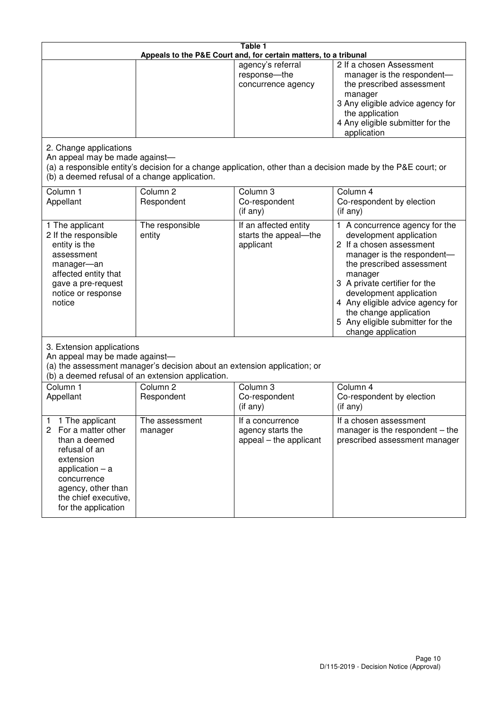| Table 1<br>Appeals to the P&E Court and, for certain matters, to a tribunal                                                                                                                             |                                   |                                                                 |                                                                                                                                                                                                                                                                                                                                                 |  |
|---------------------------------------------------------------------------------------------------------------------------------------------------------------------------------------------------------|-----------------------------------|-----------------------------------------------------------------|-------------------------------------------------------------------------------------------------------------------------------------------------------------------------------------------------------------------------------------------------------------------------------------------------------------------------------------------------|--|
|                                                                                                                                                                                                         |                                   | agency's referral<br>response-the<br>concurrence agency         | 2 If a chosen Assessment<br>manager is the respondent-<br>the prescribed assessment<br>manager<br>3 Any eligible advice agency for<br>the application<br>4 Any eligible submitter for the<br>application                                                                                                                                        |  |
| 2. Change applications<br>An appeal may be made against-<br>(b) a deemed refusal of a change application.                                                                                               |                                   |                                                                 | (a) a responsible entity's decision for a change application, other than a decision made by the P&E court; or                                                                                                                                                                                                                                   |  |
| Column 1<br>Appellant                                                                                                                                                                                   | Column <sub>2</sub><br>Respondent | Column 3<br>Co-respondent<br>$($ if any $)$                     | Column 4<br>Co-respondent by election<br>(if any)                                                                                                                                                                                                                                                                                               |  |
| 1 The applicant<br>2 If the responsible<br>entity is the<br>assessment<br>manager-an<br>affected entity that<br>gave a pre-request<br>notice or response<br>notice                                      | The responsible<br>entity         | If an affected entity<br>starts the appeal-the<br>applicant     | 1 A concurrence agency for the<br>development application<br>2 If a chosen assessment<br>manager is the respondent-<br>the prescribed assessment<br>manager<br>3 A private certifier for the<br>development application<br>4 Any eligible advice agency for<br>the change application<br>5 Any eligible submitter for the<br>change application |  |
| 3. Extension applications<br>An appeal may be made against-<br>(a) the assessment manager's decision about an extension application; or<br>(b) a deemed refusal of an extension application.            |                                   |                                                                 |                                                                                                                                                                                                                                                                                                                                                 |  |
| Column 1<br>Appellant                                                                                                                                                                                   | Column <sub>2</sub><br>Respondent | Column 3<br>Co-respondent<br>(if any)                           | Column $\overline{4}$<br>Co-respondent by election<br>(if any)                                                                                                                                                                                                                                                                                  |  |
| 1 The applicant<br>1<br>2<br>For a matter other<br>than a deemed<br>refusal of an<br>extension<br>application $-$ a<br>concurrence<br>agency, other than<br>the chief executive,<br>for the application | The assessment<br>manager         | If a concurrence<br>agency starts the<br>appeal – the applicant | If a chosen assessment<br>manager is the respondent $-$ the<br>prescribed assessment manager                                                                                                                                                                                                                                                    |  |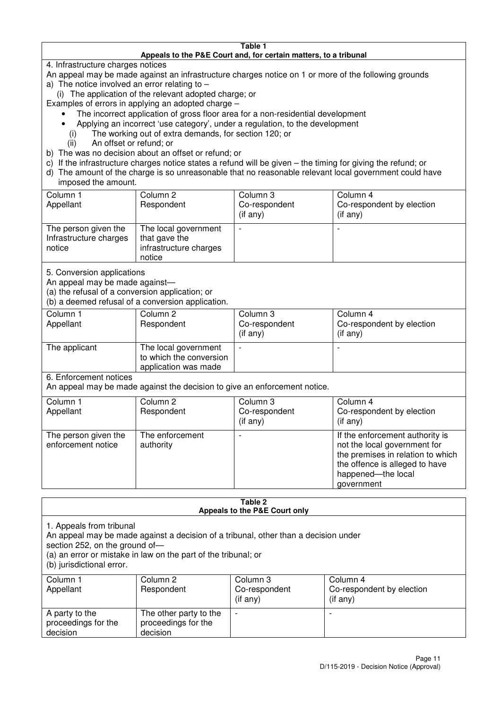#### **Table 1 Appeals to the P&E Court and, for certain matters, to a tribunal**

4. Infrastructure charges notices

- An appeal may be made against an infrastructure charges notice on 1 or more of the following grounds
- a) The notice involved an error relating to
	- (i) The application of the relevant adopted charge; or
- Examples of errors in applying an adopted charge
	- The incorrect application of gross floor area for a non-residential development
	- Applying an incorrect 'use category', under a regulation, to the development
	- (i) The working out of extra demands, for section 120; or
	- (ii) An offset or refund; or
- b) The was no decision about an offset or refund; or
- c) If the infrastructure charges notice states a refund will be given the timing for giving the refund; or
- d) The amount of the charge is so unreasonable that no reasonable relevant local government could have

## imposed the amount.

| Column 1<br>Appellant                                    | Column 2<br>Respondent                                                    | Column 3<br>Co-respondent<br>(if any) | Column 4<br>Co-respondent by election<br>$($ if any $)$ |
|----------------------------------------------------------|---------------------------------------------------------------------------|---------------------------------------|---------------------------------------------------------|
| The person given the<br>Infrastructure charges<br>notice | The local government<br>that gave the<br>infrastructure charges<br>notice |                                       | $\overline{\phantom{0}}$                                |

5. Conversion applications

An appeal may be made against—

(a) the refusal of a conversion application; or

(b) a deemed refusal of a conversion application.

| Column 1<br>Appellant | Column 2<br>Respondent                                                  | Column 3<br>Co-respondent<br>$($ if any $)$ | Column 4<br>Co-respondent by election<br>$($ if any $)$ |
|-----------------------|-------------------------------------------------------------------------|---------------------------------------------|---------------------------------------------------------|
| The applicant         | The local government<br>to which the conversion<br>application was made |                                             |                                                         |

6. Enforcement notices

An appeal may be made against the decision to give an enforcement notice.

| Column 1                                   | Column 2                     | Column 3       | Column 4                                                                                                                                                                   |
|--------------------------------------------|------------------------------|----------------|----------------------------------------------------------------------------------------------------------------------------------------------------------------------------|
| Appellant                                  | Respondent                   | Co-respondent  | Co-respondent by election                                                                                                                                                  |
|                                            |                              | $($ if any $)$ | (if any)                                                                                                                                                                   |
| The person given the<br>enforcement notice | The enforcement<br>authority |                | If the enforcement authority is<br>not the local government for<br>the premises in relation to which<br>the offence is alleged to have<br>happened-the local<br>government |

#### **Table 2 Appeals to the P&E Court only**

1. Appeals from tribunal

An appeal may be made against a decision of a tribunal, other than a decision under

section 252, on the ground of-

(a) an error or mistake in law on the part of the tribunal; or

(b) jurisdictional error.

| Column 1<br>Appellant                             | Column 2<br>Respondent                                    | Column 3<br>Co-respondent<br>$($ if any $)$ | Column 4<br>Co-respondent by election<br>(i f any) |
|---------------------------------------------------|-----------------------------------------------------------|---------------------------------------------|----------------------------------------------------|
| A party to the<br>proceedings for the<br>decision | The other party to the<br>proceedings for the<br>decision | $\overline{\phantom{0}}$                    |                                                    |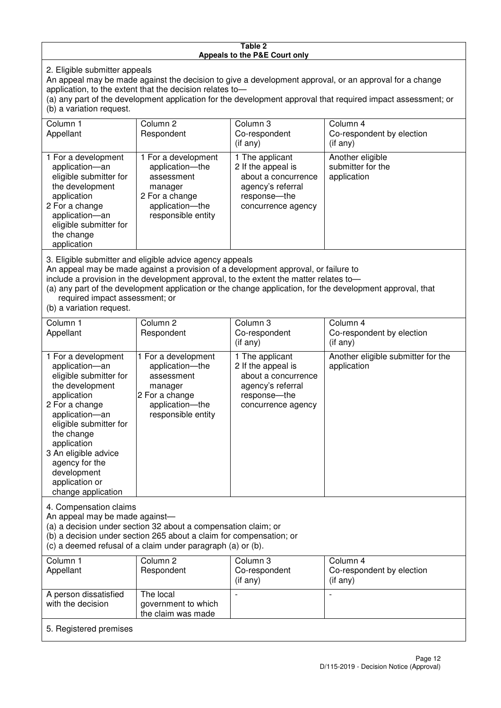#### **Table 2 Appeals to the P&E Court only**

2. Eligible submitter appeals

An appeal may be made against the decision to give a development approval, or an approval for a change application, to the extent that the decision relates to—

(a) any part of the development application for the development approval that required impact assessment; or (b) a variation request.

| Column 1<br>Appellant                                                                                                                                                                                                                                                                                                                                                                                               | Column 2<br>Respondent                                                                                                     | Column 3<br>Co-respondent<br>$($ if any $)$                                                                             | Column 4<br>Co-respondent by election<br>(i f any)   |  |
|---------------------------------------------------------------------------------------------------------------------------------------------------------------------------------------------------------------------------------------------------------------------------------------------------------------------------------------------------------------------------------------------------------------------|----------------------------------------------------------------------------------------------------------------------------|-------------------------------------------------------------------------------------------------------------------------|------------------------------------------------------|--|
| 1 For a development<br>application-an<br>eligible submitter for<br>the development<br>application<br>2 For a change<br>application-an<br>eligible submitter for<br>the change<br>application                                                                                                                                                                                                                        | 1 For a development<br>application-the<br>assessment<br>manager<br>2 For a change<br>application-the<br>responsible entity | 1 The applicant<br>2 If the appeal is<br>about a concurrence<br>agency's referral<br>response-the<br>concurrence agency | Another eligible<br>submitter for the<br>application |  |
| 3. Eligible submitter and eligible advice agency appeals<br>An appeal may be made against a provision of a development approval, or failure to<br>include a provision in the development approval, to the extent the matter relates to-<br>(a) any part of the development application or the change application, for the development approval, that<br>required impact assessment; or<br>$(h)$ a variation request |                                                                                                                            |                                                                                                                         |                                                      |  |

(b) a variation request.

5. Registered premises

| Column 1<br>Appellant                                                                                                                                                                                                                                                                         | Column 2<br>Respondent                                                                                                     | Column 3<br>Co-respondent<br>$($ if any $)$                                                                             | Column 4<br>Co-respondent by election<br>(i f any) |  |
|-----------------------------------------------------------------------------------------------------------------------------------------------------------------------------------------------------------------------------------------------------------------------------------------------|----------------------------------------------------------------------------------------------------------------------------|-------------------------------------------------------------------------------------------------------------------------|----------------------------------------------------|--|
| 1 For a development<br>application-an<br>eligible submitter for<br>the development<br>application<br>2 For a change<br>application-an<br>eligible submitter for<br>the change<br>application<br>3 An eligible advice<br>agency for the<br>development<br>application or<br>change application | 1 For a development<br>application-the<br>assessment<br>manager<br>2 For a change<br>application-the<br>responsible entity | 1 The applicant<br>2 If the appeal is<br>about a concurrence<br>agency's referral<br>response-the<br>concurrence agency | Another eligible submitter for the<br>application  |  |
| 4. Compensation claims<br>An appeal may be made against-<br>(a) a decision under section 32 about a compensation claim; or<br>(b) a decision under section 265 about a claim for compensation; or<br>(c) a deemed refusal of a claim under paragraph (a) or (b).                              |                                                                                                                            |                                                                                                                         |                                                    |  |
| Column <sub>1</sub><br>Appellant                                                                                                                                                                                                                                                              | Column <sub>2</sub><br>Respondent                                                                                          | Column 3<br>Co-respondent<br>(if any)                                                                                   | Column 4<br>Co-respondent by election<br>(if any)  |  |
| A person dissatisfied<br>with the decision                                                                                                                                                                                                                                                    | The local<br>government to which                                                                                           |                                                                                                                         |                                                    |  |

the claim was made

Page 12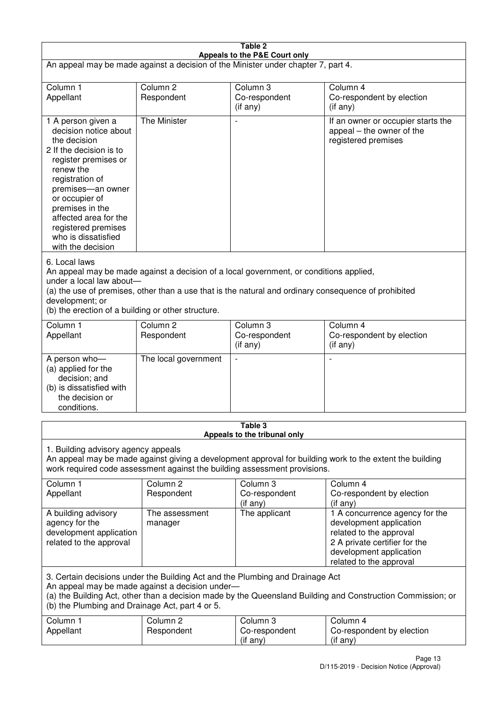| Table 2                                                                                                                                                                                                                                                                                              |                                   |                                                                                                                                                                                                |                                                                                                                                                                             |  |
|------------------------------------------------------------------------------------------------------------------------------------------------------------------------------------------------------------------------------------------------------------------------------------------------------|-----------------------------------|------------------------------------------------------------------------------------------------------------------------------------------------------------------------------------------------|-----------------------------------------------------------------------------------------------------------------------------------------------------------------------------|--|
| Appeals to the P&E Court only<br>An appeal may be made against a decision of the Minister under chapter 7, part 4.                                                                                                                                                                                   |                                   |                                                                                                                                                                                                |                                                                                                                                                                             |  |
|                                                                                                                                                                                                                                                                                                      |                                   |                                                                                                                                                                                                |                                                                                                                                                                             |  |
| Column 1<br>Appellant                                                                                                                                                                                                                                                                                | Column <sub>2</sub><br>Respondent | Column 3<br>Co-respondent                                                                                                                                                                      | Column 4<br>Co-respondent by election                                                                                                                                       |  |
|                                                                                                                                                                                                                                                                                                      |                                   | (if any)                                                                                                                                                                                       | (i f any)                                                                                                                                                                   |  |
| 1 A person given a<br>decision notice about<br>the decision<br>2 If the decision is to<br>register premises or<br>renew the<br>registration of<br>premises-an owner<br>or occupier of<br>premises in the<br>affected area for the<br>registered premises<br>who is dissatisfied<br>with the decision | The Minister                      | $\overline{\phantom{a}}$                                                                                                                                                                       | If an owner or occupier starts the<br>appeal – the owner of the<br>registered premises                                                                                      |  |
| 6. Local laws<br>under a local law about-<br>development; or<br>(b) the erection of a building or other structure.                                                                                                                                                                                   |                                   | An appeal may be made against a decision of a local government, or conditions applied,<br>(a) the use of premises, other than a use that is the natural and ordinary consequence of prohibited |                                                                                                                                                                             |  |
| Column 1                                                                                                                                                                                                                                                                                             | Column <sub>2</sub>               | Column 3                                                                                                                                                                                       | Column 4                                                                                                                                                                    |  |
| Appellant                                                                                                                                                                                                                                                                                            | Respondent                        | Co-respondent<br>(if any)                                                                                                                                                                      | Co-respondent by election<br>(if any)                                                                                                                                       |  |
| A person who-<br>(a) applied for the<br>decision; and<br>(b) is dissatisfied with<br>the decision or<br>conditions.                                                                                                                                                                                  | The local government              | $\overline{a}$                                                                                                                                                                                 |                                                                                                                                                                             |  |
|                                                                                                                                                                                                                                                                                                      |                                   | Table 3                                                                                                                                                                                        |                                                                                                                                                                             |  |
| Appeals to the tribunal only<br>1. Building advisory agency appeals<br>An appeal may be made against giving a development approval for building work to the extent the building<br>work required code assessment against the building assessment provisions.                                         |                                   |                                                                                                                                                                                                |                                                                                                                                                                             |  |
| Column 1<br>Appellant                                                                                                                                                                                                                                                                                | Column <sub>2</sub><br>Respondent | Column 3<br>Co-respondent<br>(if any)                                                                                                                                                          | Column 4<br>Co-respondent by election<br>(if any)                                                                                                                           |  |
| A building advisory<br>agency for the<br>development application<br>related to the approval                                                                                                                                                                                                          | The assessment<br>manager         | The applicant                                                                                                                                                                                  | 1 A concurrence agency for the<br>development application<br>related to the approval<br>2 A private certifier for the<br>development application<br>related to the approval |  |
| 3. Certain decisions under the Building Act and the Plumbing and Drainage Act<br>An appeal may be made against a decision under-<br>(a) the Building Act, other than a decision made by the Queensland Building and Construction Commission; or<br>(b) the Plumbing and Drainage Act, part 4 or 5.   |                                   |                                                                                                                                                                                                |                                                                                                                                                                             |  |
| Column 1<br>Appellant                                                                                                                                                                                                                                                                                | Column <sub>2</sub><br>Respondent | Column 3<br>Co-respondent<br>(if any)                                                                                                                                                          | Column 4<br>Co-respondent by election<br>(if any)                                                                                                                           |  |